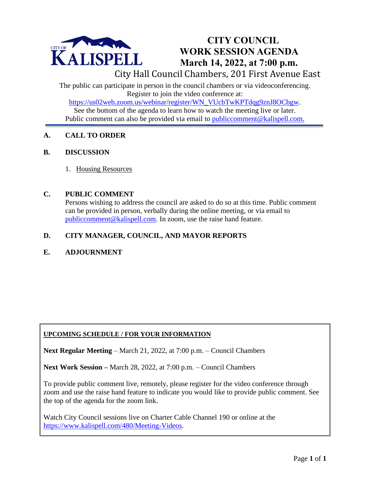

# **CITY COUNCIL WORK SESSION AGENDA March 14, 2022, at 7:00 p.m.**

City Hall Council Chambers, 201 First Avenue East

The public can participate in person in the council chambers or via videoconferencing. Register to join the video conference at:

[https://us02web.zoom.us/webinar/register/WN\\_VUcbTwKPTdqg9znJ8OCbgw.](https://us02web.zoom.us/webinar/register/WN_VUcbTwKPTdqg9znJ8OCbgw)

See the bottom of the agenda to learn how to watch the meeting live or later. Public comment can also be provided via email to [publiccomment@kalispell.com.](mailto:publiccomment@kalispell.com)

# **A. CALL TO ORDER**

#### **B. DISCUSSION**

1. Housing Resources

#### **C. PUBLIC COMMENT**

Persons wishing to address the council are asked to do so at this time. Public comment can be provided in person, verbally during the online meeting, or via email to [publiccomment@kalispell.com.](mailto:publiccomment@kalispell.com) In zoom, use the raise hand feature.

## **D. CITY MANAGER, COUNCIL, AND MAYOR REPORTS**

## **E. ADJOURNMENT**

## **UPCOMING SCHEDULE / FOR YOUR INFORMATION**

**Next Regular Meeting** – March 21, 2022, at 7:00 p.m. – Council Chambers

**Next Work Session –** March 28, 2022, at 7:00 p.m. – Council Chambers

To provide public comment live, remotely, please register for the video conference through zoom and use the raise hand feature to indicate you would like to provide public comment. See the top of the agenda for the zoom link.

Watch City Council sessions live on Charter Cable Channel 190 or online at the [https://www.kalispell.com/480/Meeting-Videos.](https://www.kalispell.com/480/Meeting-Videos)